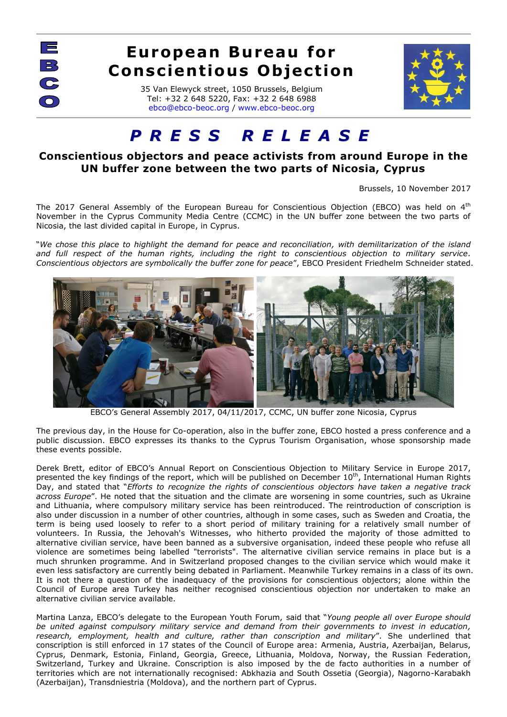$\equiv$  $\mathbb{C}$  $\overline{\bigcap}$ 

## **European Bureau for Conscientious Objection**

35 Van Elewyck street, 1050 Brussels, Belgium Tel: +32 2 648 5220, Fax: +32 2 648 6988 [ebco@ebco-beoc.org](mailto:ebco@ebco-beoc.eu) / [www.ebco-beoc.org](http://www.ebco-beoc.org/)



## *P R E S S R E L E A S E*

## **Conscientious objectors and peace activists from around Europe in the UN buffer zone between the two parts of Nicosia, Cyprus**

Brussels, 10 November 2017

The 2017 General Assembly of the European Bureau for Conscientious Objection (EBCO) was held on  $4^{\text{th}}$ November in the Cyprus Community Media Centre (CCMC) in the UN buffer zone between the two parts of Nicosia, the last divided capital in Europe, in Cyprus.

"*We chose this place to highlight the demand for peace and reconciliation, with demilitarization of the island and full respect of the human rights, including the right to conscientious objection to military service. Conscientious objectors are symbolically the buffer zone for peace*", EBCO President Friedhelm Schneider stated.



EBCO's General Assembly 2017, 04/11/2017, CCMC, UN buffer zone Nicosia, Cyprus

The previous day, in the House for Co-operation, also in the buffer zone, EBCO hosted a press conference and a public discussion. EBCO expresses its thanks to the Cyprus Tourism Organisation, whose sponsorship made these events possible.

Derek Brett, editor of EBCO's Annual Report on Conscientious Objection to Military Service in Europe 2017, presented the key findings of the report, which will be published on December  $10^{th}$ , International Human Rights Day, and stated that "*Efforts to recognize the rights of conscientious objectors have taken a negative track across Europe*". He noted that the situation and the climate are worsening in some countries, such as Ukraine and Lithuania, where compulsory military service has been reintroduced. The reintroduction of conscription is also under discussion in a number of other countries, although in some cases, such as Sweden and Croatia, the term is being used loosely to refer to a short period of military training for a relatively small number of volunteers. In Russia, the Jehovah's Witnesses, who hitherto provided the majority of those admitted to alternative civilian service, have been banned as a subversive organisation, indeed these people who refuse all violence are sometimes being labelled "terrorists". The alternative civilian service remains in place but is a much shrunken programme. And in Switzerland proposed changes to the civilian service which would make it even less satisfactory are currently being debated in Parliament. Meanwhile Turkey remains in a class of its own. It is not there a question of the inadequacy of the provisions for conscientious objectors; alone within the Council of Europe area Turkey has neither recognised conscientious objection nor undertaken to make an alternative civilian service available.

Martina Lanza, EBCO's delegate to the European Youth Forum, said that "*Young people all over Europe should be united against compulsory military service and demand from their governments to invest in education, research, employment, health and culture, rather than conscription and military*". She underlined that conscription is still enforced in 17 states of the Council of Europe area: Armenia, Austria, Azerbaijan, Belarus, Cyprus, Denmark, Estonia, Finland, Georgia, Greece, Lithuania, Moldova, Norway, the Russian Federation, Switzerland, Turkey and Ukraine. Conscription is also imposed by the de facto authorities in a number of territories which are not internationally recognised: Abkhazia and South Ossetia (Georgia), Nagorno-Karabakh (Azerbaijan), Transdniestria (Moldova), and the northern part of Cyprus.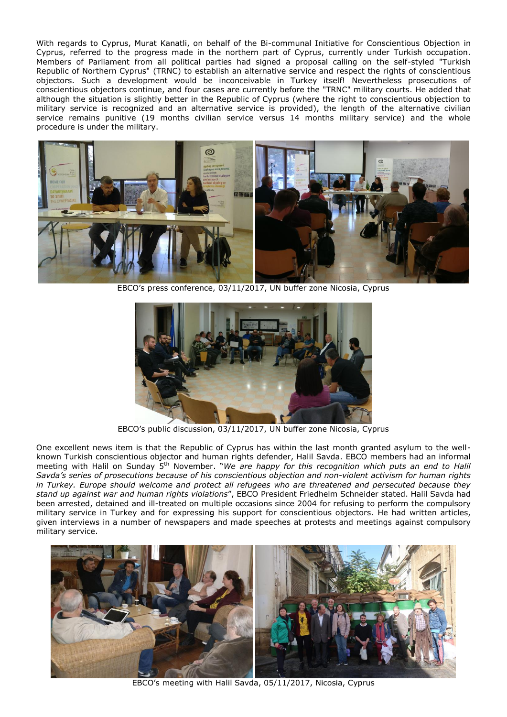With regards to Cyprus, Murat Kanatli, on behalf of the Bi-communal Initiative for Conscientious Objection in Cyprus, referred to the progress made in the northern part of Cyprus, currently under Turkish occupation. Members of Parliament from all political parties had signed a proposal calling on the self-styled "Turkish Republic of Northern Cyprus" (TRNC) to establish an alternative service and respect the rights of conscientious objectors. Such a development would be inconceivable in Turkey itself! Nevertheless prosecutions of conscientious objectors continue, and four cases are currently before the "TRNC" military courts. He added that although the situation is slightly better in the Republic of Cyprus (where the right to conscientious objection to military service is recognized and an alternative service is provided), the length of the alternative civilian service remains punitive (19 months civilian service versus 14 months military service) and the whole procedure is under the military.



EBCO's press conference, 03/11/2017, UN buffer zone Nicosia, Cyprus



EBCO's public discussion, 03/11/2017, UN buffer zone Nicosia, Cyprus

One excellent news item is that the Republic of Cyprus has within the last month granted asylum to the wellknown Turkish conscientious objector and human rights defender, Halil Savda. EBCO members had an informal meeting with Halil on Sunday 5<sup>th</sup> November. "*We are happy for this recognition which puts an end to Halil Savda's series of prosecutions because of his conscientious objection and non-violent activism for human rights in Turkey. Europe should welcome and protect all refugees who are threatened and persecuted because they stand up against war and human rights violations*", EBCO President Friedhelm Schneider stated. Halil Savda had been arrested, detained and ill-treated on multiple occasions since 2004 for refusing to perform the compulsory military service in Turkey and for expressing his support for conscientious objectors. He had written articles, given interviews in a number of newspapers and made speeches at protests and meetings against compulsory military service.



EBCO's meeting with Halil Savda, 05/11/2017, Nicosia, Cyprus